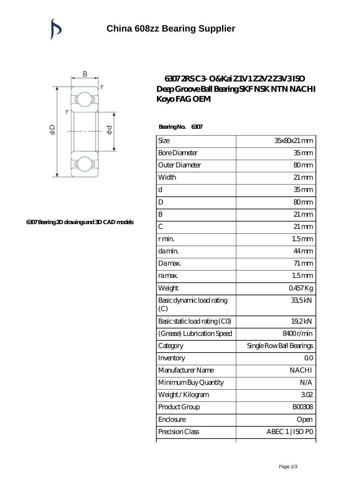

## **[6307 Bearing 2D drawings and 3D CAD models](https://catchios.com/pic-592288.html)**

## **[6307 2RS C3- O&Kai Z1V1 Z2V2 Z3V3 ISO](https://catchios.com/fag-c3-bearing/nachi-6307.html) [Deep Groove Ball Bearing SKF NSK NTN NACHI](https://catchios.com/fag-c3-bearing/nachi-6307.html) [Koyo FAG OEM](https://catchios.com/fag-c3-bearing/nachi-6307.html)**

 **Bearing No. 6307**

| Size                             | 35x80x21 mm              |
|----------------------------------|--------------------------|
| <b>Bore Diameter</b>             | 35 mm                    |
| Outer Diameter                   | 80 <sub>mm</sub>         |
| Width                            | $21 \,\mathrm{mm}$       |
| d                                | 35 <sub>mm</sub>         |
| D                                | 80mm                     |
| B                                | $21 \,\mathrm{mm}$       |
| $\overline{C}$                   | $21 \,\mathrm{mm}$       |
| r min.                           | 1.5 <sub>mm</sub>        |
| da min.                          | $44 \,\mathrm{mm}$       |
| Damax.                           | $71 \,\mathrm{mm}$       |
| ra max.                          | 1.5 <sub>mm</sub>        |
| Weight                           | 0457Kg                   |
| Basic dynamic load rating<br>(C) | 335kN                    |
| Basic static load rating (CO)    | 19,2kN                   |
| (Grease) Lubrication Speed       | 8400r/min                |
| Category                         | Single Row Ball Bearings |
| Inventory                        | 00                       |
| Manufacturer Name                | <b>NACHI</b>             |
| Minimum Buy Quantity             | N/A                      |
| Weight/Kilogram                  | 302                      |
| Product Group                    | BOO3O8                   |
| Enclosure                        | Open                     |
| Precision Class                  | ABEC 1   ISO PO          |
|                                  |                          |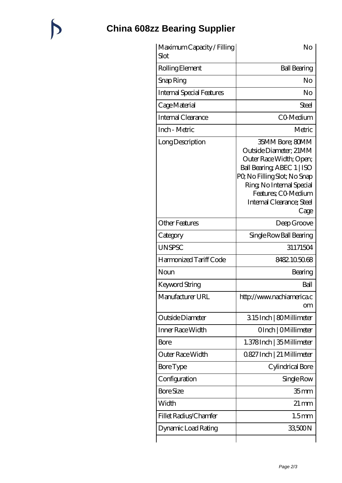## **[China 608zz Bearing Supplier](https://catchios.com)**

 $\bigtriangledown$ 

| Maximum Capacity / Filling<br>Slot | No                                                                                                                                                                                                                        |
|------------------------------------|---------------------------------------------------------------------------------------------------------------------------------------------------------------------------------------------------------------------------|
| Rolling Element                    | <b>Ball Bearing</b>                                                                                                                                                                                                       |
| Snap Ring                          | No                                                                                                                                                                                                                        |
| <b>Internal Special Features</b>   | No                                                                                                                                                                                                                        |
| Cage Material                      | Steel                                                                                                                                                                                                                     |
| Internal Clearance                 | CO-Medium                                                                                                                                                                                                                 |
| Inch - Metric                      | Metric                                                                                                                                                                                                                    |
| Long Description                   | 35MM Bore; 80MM<br>Outside Diameter; 21MM<br>Outer Race Width; Open;<br>Ball Bearing ABEC 1   ISO<br>PQ No Filling Slot; No Snap<br>Ring, No Internal Special<br>Features; CO-Medium<br>Internal Clearance; Steel<br>Cage |
| <b>Other Features</b>              | Deep Groove                                                                                                                                                                                                               |
| Category                           | Single Row Ball Bearing                                                                                                                                                                                                   |
| <b>UNSPSC</b>                      | 31171504                                                                                                                                                                                                                  |
| Harmonized Tariff Code             | 8482.105068                                                                                                                                                                                                               |
| Noun                               | Bearing                                                                                                                                                                                                                   |
| Keyword String                     | Ball                                                                                                                                                                                                                      |
| Manufacturer URL                   | http://www.nachiamerica.c<br><b>om</b>                                                                                                                                                                                    |
| Outside Diameter                   | 315Inch   80Millimeter                                                                                                                                                                                                    |
| Inner Race Width                   | OInch   OMillimeter                                                                                                                                                                                                       |
| Bore                               | 1.378 Inch   35 Millimeter                                                                                                                                                                                                |
| Outer Race Width                   | 0.827 Inch   21 Millimeter                                                                                                                                                                                                |
| <b>Bore Type</b>                   | Cylindrical Bore                                                                                                                                                                                                          |
| Configuration                      | Single Row                                                                                                                                                                                                                |
| <b>Bore Size</b>                   | 35 <sub>mm</sub>                                                                                                                                                                                                          |
| Width                              | $21 \,\mathrm{mm}$                                                                                                                                                                                                        |
| Fillet Radius/Chamfer              | 1.5 <sub>mm</sub>                                                                                                                                                                                                         |
| Dynamic Load Rating                | 33,500N                                                                                                                                                                                                                   |